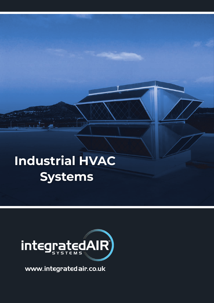## **Industrial HVAC Systems**



www.integratedair.co.uk